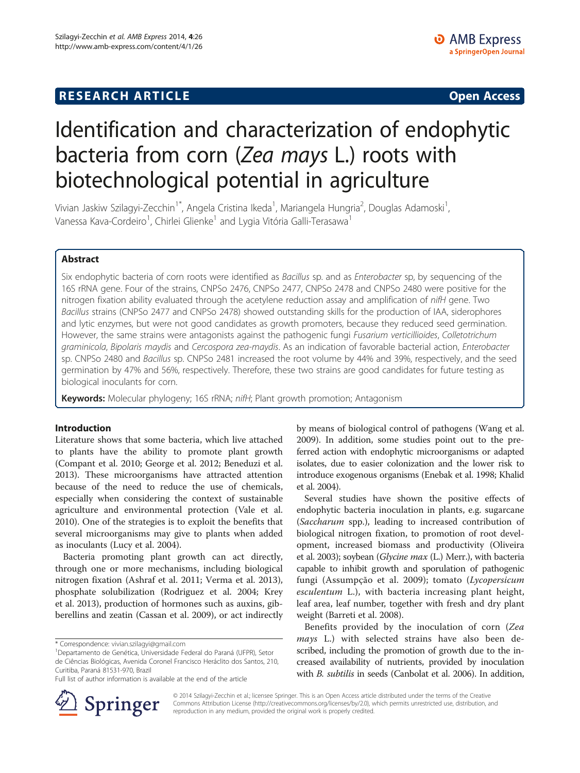## **RESEARCH ARTICLE Example 2014 CONSIDERING CONSIDERING CONSIDERING CONSIDERING CONSIDERING CONSIDERING CONSIDERING CONSIDERING CONSIDERING CONSIDERING CONSIDERING CONSIDERING CONSIDERING CONSIDERING CONSIDERING CONSIDE**

# Identification and characterization of endophytic bacteria from corn (Zea mays L.) roots with biotechnological potential in agriculture

Vivian Jaskiw Szilagyi-Zecchin<sup>1\*</sup>, Angela Cristina Ikeda<sup>1</sup>, Mariangela Hungria<sup>2</sup>, Douglas Adamoski<sup>1</sup> , Vanessa Kava-Cordeiro<sup>1</sup>, Chirlei Glienke<sup>1</sup> and Lygia Vitória Galli-Terasawa<sup>1</sup>

## Abstract

Six endophytic bacteria of corn roots were identified as Bacillus sp. and as Enterobacter sp, by sequencing of the 16S rRNA gene. Four of the strains, CNPSo 2476, CNPSo 2477, CNPSo 2478 and CNPSo 2480 were positive for the nitrogen fixation ability evaluated through the acetylene reduction assay and amplification of nifH gene. Two Bacillus strains (CNPSo 2477 and CNPSo 2478) showed outstanding skills for the production of IAA, siderophores and lytic enzymes, but were not good candidates as growth promoters, because they reduced seed germination. However, the same strains were antagonists against the pathogenic fungi Fusarium verticillioides, Colletotrichum graminicola, Bipolaris maydis and Cercospora zea-maydis. As an indication of favorable bacterial action, Enterobacter sp. CNPSo 2480 and Bacillus sp. CNPSo 2481 increased the root volume by 44% and 39%, respectively, and the seed germination by 47% and 56%, respectively. Therefore, these two strains are good candidates for future testing as biological inoculants for corn.

Keywords: Molecular phylogeny; 16S rRNA; nifH; Plant growth promotion; Antagonism

#### Introduction

Literature shows that some bacteria, which live attached to plants have the ability to promote plant growth (Compant et al. [2010;](#page-6-0) George et al. [2012;](#page-6-0) Beneduzi et al. [2013](#page-6-0)). These microorganisms have attracted attention because of the need to reduce the use of chemicals, especially when considering the context of sustainable agriculture and environmental protection (Vale et al. [2010](#page-7-0)). One of the strategies is to exploit the benefits that several microorganisms may give to plants when added as inoculants (Lucy et al. [2004](#page-7-0)).

Bacteria promoting plant growth can act directly, through one or more mechanisms, including biological nitrogen fixation (Ashraf et al. [2011;](#page-6-0) Verma et al. [2013](#page-8-0)), phosphate solubilization (Rodriguez et al. [2004](#page-7-0); Krey et al. [2013\)](#page-7-0), production of hormones such as auxins, gibberellins and zeatin (Cassan et al. [2009\)](#page-6-0), or act indirectly

by means of biological control of pathogens (Wang et al. [2009](#page-8-0)). In addition, some studies point out to the preferred action with endophytic microorganisms or adapted isolates, due to easier colonization and the lower risk to introduce exogenous organisms (Enebak et al. [1998;](#page-6-0) Khalid et al. [2004\)](#page-7-0).

Several studies have shown the positive effects of endophytic bacteria inoculation in plants, e.g. sugarcane (Saccharum spp.), leading to increased contribution of biological nitrogen fixation, to promotion of root development, increased biomass and productivity (Oliveira et al. [2003\)](#page-7-0); soybean (Glycine max (L.) Merr.), with bacteria capable to inhibit growth and sporulation of pathogenic fungi (Assumpção et al. [2009](#page-6-0)); tomato (Lycopersicum esculentum L.), with bacteria increasing plant height, leaf area, leaf number, together with fresh and dry plant weight (Barreti et al. [2008](#page-6-0)).

Benefits provided by the inoculation of corn (Zea mays L.) with selected strains have also been described, including the promotion of growth due to the increased availability of nutrients, provided by inoculation with B. subtilis in seeds (Canbolat et al. [2006](#page-6-0)). In addition,



© 2014 Szilagyi-Zecchin et al.; licensee Springer. This is an Open Access article distributed under the terms of the Creative Commons Attribution License (<http://creativecommons.org/licenses/by/2.0>), which permits unrestricted use, distribution, and reproduction in any medium, provided the original work is properly credited.

<sup>\*</sup> Correspondence: [vivian.szilagyi@gmail.com](mailto:vivian.szilagyi@gmail.com) <sup>1</sup>

Departamento de Genética, Universidade Federal do Paraná (UFPR), Setor de Ciências Biológicas, Avenida Coronel Francisco Heráclito dos Santos, 210, Curitiba, Paraná 81531-970, Brazil

Full list of author information is available at the end of the article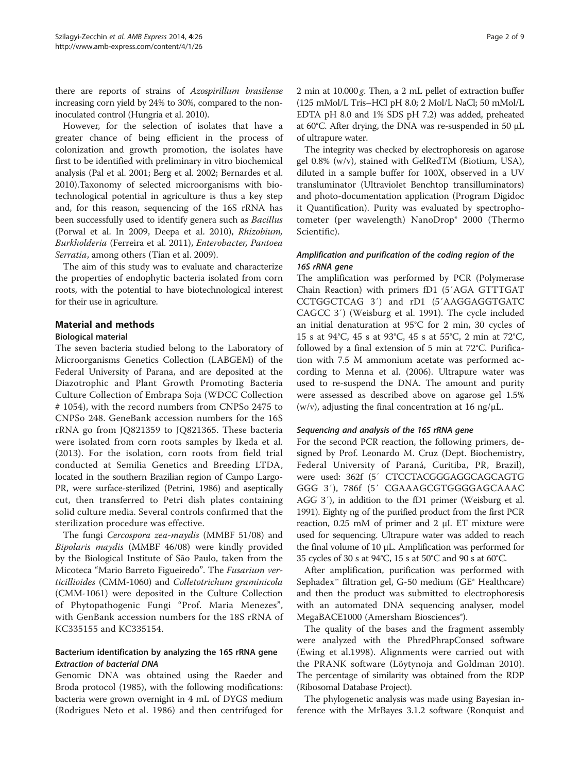there are reports of strains of Azospirillum brasilense increasing corn yield by 24% to 30%, compared to the noninoculated control (Hungria et al. [2010\)](#page-7-0).

However, for the selection of isolates that have a greater chance of being efficient in the process of colonization and growth promotion, the isolates have first to be identified with preliminary in vitro biochemical analysis (Pal et al. [2001](#page-7-0); Berg et al. [2002;](#page-6-0) Bernardes et al. [2010](#page-6-0)).Taxonomy of selected microorganisms with biotechnological potential in agriculture is thus a key step and, for this reason, sequencing of the 16S rRNA has been successfully used to identify genera such as Bacillus (Porwal et al. In [2009,](#page-7-0) Deepa et al. [2010\)](#page-6-0), Rhizobium, Burkholderia (Ferreira et al. [2011](#page-6-0)), Enterobacter, Pantoea Serratia, among others (Tian et al. [2009\)](#page-7-0).

The aim of this study was to evaluate and characterize the properties of endophytic bacteria isolated from corn roots, with the potential to have biotechnological interest for their use in agriculture.

### Material and methods

#### Biological material

The seven bacteria studied belong to the Laboratory of Microorganisms Genetics Collection (LABGEM) of the Federal University of Parana, and are deposited at the Diazotrophic and Plant Growth Promoting Bacteria Culture Collection of Embrapa Soja (WDCC Collection # 1054), with the record numbers from CNPSo 2475 to CNPSo 248. GeneBank accession numbers for the 16S rRNA go from JQ821359 to JQ821365. These bacteria were isolated from corn roots samples by Ikeda et al. ([2013](#page-7-0)). For the isolation, corn roots from field trial conducted at Semilia Genetics and Breeding LTDA, located in the southern Brazilian region of Campo Largo-PR, were surface-sterilized (Petrini, [1986\)](#page-7-0) and aseptically cut, then transferred to Petri dish plates containing solid culture media. Several controls confirmed that the sterilization procedure was effective.

The fungi Cercospora zea-maydis (MMBF 51/08) and Bipolaris maydis (MMBF 46/08) were kindly provided by the Biological Institute of São Paulo, taken from the Micoteca "Mario Barreto Figueiredo". The Fusarium verticillioides (CMM-1060) and Colletotrichum graminicola (CMM-1061) were deposited in the Culture Collection of Phytopathogenic Fungi "Prof. Maria Menezes", with GenBank accession numbers for the 18S rRNA of KC335155 and KC335154.

### Bacterium identification by analyzing the 16S rRNA gene Extraction of bacterial DNA

Genomic DNA was obtained using the Raeder and Broda protocol [\(1985](#page-7-0)), with the following modifications: bacteria were grown overnight in 4 mL of DYGS medium (Rodrigues Neto et al. [1986\)](#page-7-0) and then centrifuged for 2 min at 10.000 g. Then, a 2 mL pellet of extraction buffer (125 mMol/L Tris–HCl pH 8.0; 2 Mol/L NaCl; 50 mMol/L EDTA pH 8.0 and 1% SDS pH 7.2) was added, preheated at 60°C. After drying, the DNA was re-suspended in 50 μL of ultrapure water.

The integrity was checked by electrophoresis on agarose gel 0.8% (w/v), stained with GelRedTM (Biotium, USA), diluted in a sample buffer for 100X, observed in a UV transluminator (Ultraviolet Benchtop transilluminators) and photo-documentation application (Program Digidoc it Quantification). Purity was evaluated by spectrophotometer (per wavelength) NanoDrop® 2000 (Thermo Scientific).

### Amplification and purification of the coding region of the 16S rRNA gene

The amplification was performed by PCR (Polymerase Chain Reaction) with primers fD1 (5′AGA GTTTGAT CCTGGCTCAG 3′) and rD1 (5′AAGGAGGTGATC CAGCC 3′) (Weisburg et al. [1991\)](#page-8-0). The cycle included an initial denaturation at 95°C for 2 min, 30 cycles of 15 s at 94°C, 45 s at 93°C, 45 s at 55°C, 2 min at 72°C, followed by a final extension of 5 min at 72°C. Purification with 7.5 M ammonium acetate was performed according to Menna et al. [\(2006\)](#page-7-0). Ultrapure water was used to re-suspend the DNA. The amount and purity were assessed as described above on agarose gel 1.5% (w/v), adjusting the final concentration at 16 ng/ $\mu$ L.

#### Sequencing and analysis of the 16S rRNA gene

For the second PCR reaction, the following primers, designed by Prof. Leonardo M. Cruz (Dept. Biochemistry, Federal University of Paraná, Curitiba, PR, Brazil), were used: 362f (5′ CTCCTACGGGAGGCAGCAGTG GGG 3′), 786f (5′ CGAAAGCGTGGGGAGCAAAC AGG 3′), in addition to the fD1 primer (Weisburg et al. [1991\)](#page-8-0). Eighty ng of the purified product from the first PCR reaction, 0.25 mM of primer and 2 μL ET mixture were used for sequencing. Ultrapure water was added to reach the final volume of 10 μL. Amplification was performed for 35 cycles of 30 s at 94°C, 15 s at 50°C and 90 s at 60°C.

After amplification, purification was performed with Sephadex™ filtration gel, G-50 medium (GE® Healthcare) and then the product was submitted to electrophoresis with an automated DNA sequencing analyser, model MegaBACE1000 (Amersham Biosciences<sup>®</sup>).

The quality of the bases and the fragment assembly were analyzed with the PhredPhrapConsed software (Ewing et al.[1998](#page-6-0)). Alignments were carried out with the PRANK software (Löytynoja and Goldman [2010](#page-7-0)). The percentage of similarity was obtained from the RDP (Ribosomal Database Project).

The phylogenetic analysis was made using Bayesian inference with the MrBayes 3.1.2 software (Ronquist and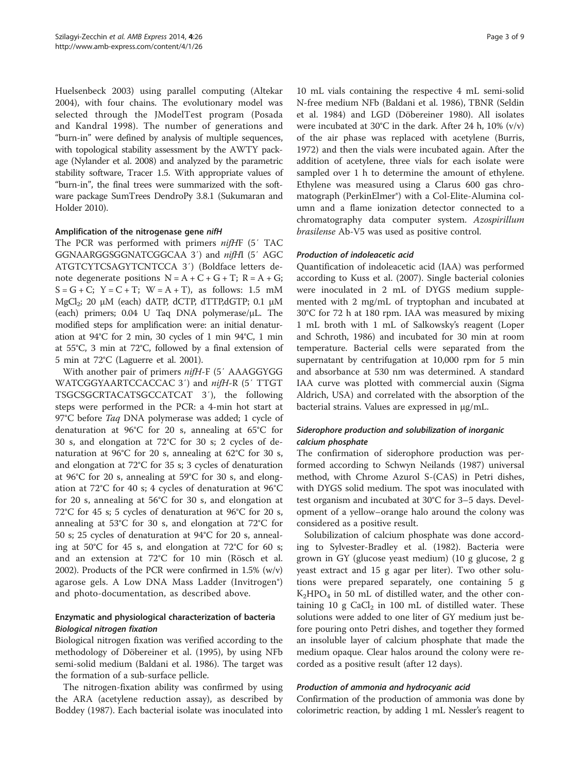Huelsenbeck [2003\)](#page-7-0) using parallel computing (Altekar [2004](#page-6-0)), with four chains. The evolutionary model was selected through the JModelTest program (Posada and Kandral [1998](#page-7-0)). The number of generations and "burn-in" were defined by analysis of multiple sequences, with topological stability assessment by the AWTY package (Nylander et al. [2008\)](#page-7-0) and analyzed by the parametric stability software, Tracer 1.5. With appropriate values of "burn-in", the final trees were summarized with the software package SumTrees DendroPy 3.8.1 (Sukumaran and Holder [2010](#page-7-0)).

#### Amplification of the nitrogenase gene nifH

The PCR was performed with primers nifHF (5' TAC GGNAARGGSGGNATCGGCAA 3′) and nifHI (5′ AGC ATGTCYTCSAGYTCNTCCA 3′) (Boldface letters denote degenerate positions  $N = A + C + G + T$ ;  $R = A + G$ ;  $S = G + C$ ;  $Y = C + T$ ;  $W = A + T$ ), as follows: 1.5 mM  $MgCl<sub>2</sub>$ ; 20 μM (each) dATP, dCTP, dTTP,dGTP; 0.1 μM (each) primers; 0.04 U Taq DNA polymerase/μL. The modified steps for amplification were: an initial denaturation at 94°C for 2 min, 30 cycles of 1 min 94°C, 1 min at 55°C, 3 min at 72°C, followed by a final extension of 5 min at 72°C (Laguerre et al. [2001\)](#page-7-0).

With another pair of primers nifH-F (5' AAAGGYGG WATCGGYAARTCCACCAC 3′) and nifH-R (5′ TTGT TSGCSGCRTACATSGCCATCAT 3′), the following steps were performed in the PCR: a 4-min hot start at 97°C before *Taq* DNA polymerase was added; 1 cycle of denaturation at 96°C for 20 s, annealing at 65°C for 30 s, and elongation at 72°C for 30 s; 2 cycles of denaturation at 96°C for 20 s, annealing at 62°C for 30 s, and elongation at 72°C for 35 s; 3 cycles of denaturation at 96°C for 20 s, annealing at 59°C for 30 s, and elongation at 72°C for 40 s; 4 cycles of denaturation at 96°C for 20 s, annealing at 56°C for 30 s, and elongation at 72°C for 45 s; 5 cycles of denaturation at 96°C for 20 s, annealing at 53°C for 30 s, and elongation at 72°C for 50 s; 25 cycles of denaturation at 94°C for 20 s, annealing at 50°C for 45 s, and elongation at 72°C for 60 s; and an extension at 72°C for 10 min (Rösch et al. [2002\)](#page-7-0). Products of the PCR were confirmed in 1.5% (w/v) agarose gels. A Low DNA Mass Ladder (Invitrogen®) and photo-documentation, as described above.

## Enzymatic and physiological characterization of bacteria Biological nitrogen fixation

Biological nitrogen fixation was verified according to the methodology of Döbereiner et al. [\(1995\)](#page-6-0), by using NFb semi-solid medium (Baldani et al. [1986\)](#page-6-0). The target was the formation of a sub-surface pellicle.

The nitrogen-fixation ability was confirmed by using the ARA (acetylene reduction assay), as described by Boddey [\(1987\)](#page-6-0). Each bacterial isolate was inoculated into

10 mL vials containing the respective 4 mL semi-solid N-free medium NFb (Baldani et al. [1986\)](#page-6-0), TBNR (Seldin et al. [1984\)](#page-7-0) and LGD (Döbereiner [1980\)](#page-6-0). All isolates were incubated at 30°C in the dark. After 24 h, 10% (v/v) of the air phase was replaced with acetylene (Burris, [1972](#page-6-0)) and then the vials were incubated again. After the addition of acetylene, three vials for each isolate were sampled over 1 h to determine the amount of ethylene. Ethylene was measured using a Clarus 600 gas chromatograph (PerkinElmer®) with a Col-Elite-Alumina column and a flame ionization detector connected to a chromatography data computer system. Azospirillum brasilense Ab-V5 was used as positive control.

#### Production of indoleacetic acid

Quantification of indoleacetic acid (IAA) was performed according to Kuss et al. [\(2007\)](#page-7-0). Single bacterial colonies were inoculated in 2 mL of DYGS medium supplemented with 2 mg/mL of tryptophan and incubated at 30°C for 72 h at 180 rpm. IAA was measured by mixing 1 mL broth with 1 mL of Salkowsky's reagent (Loper and Schroth, [1986](#page-7-0)) and incubated for 30 min at room temperature. Bacterial cells were separated from the supernatant by centrifugation at 10,000 rpm for 5 min and absorbance at 530 nm was determined. A standard IAA curve was plotted with commercial auxin (Sigma Aldrich, USA) and correlated with the absorption of the bacterial strains. Values are expressed in μg/mL.

## Siderophore production and solubilization of inorganic calcium phosphate

The confirmation of siderophore production was performed according to Schwyn Neilands ([1987](#page-7-0)) universal method, with Chrome Azurol S-(CAS) in Petri dishes, with DYGS solid medium. The spot was inoculated with test organism and incubated at 30°C for 3–5 days. Development of a yellow–orange halo around the colony was considered as a positive result.

Solubilization of calcium phosphate was done according to Sylvester-Bradley et al. [\(1982\)](#page-7-0). Bacteria were grown in GY (glucose yeast medium) (10 g glucose, 2 g yeast extract and 15 g agar per liter). Two other solutions were prepared separately, one containing 5 g  $K_2HPO_4$  in 50 mL of distilled water, and the other containing 10 g  $CaCl<sub>2</sub>$  in 100 mL of distilled water. These solutions were added to one liter of GY medium just before pouring onto Petri dishes, and together they formed an insoluble layer of calcium phosphate that made the medium opaque. Clear halos around the colony were recorded as a positive result (after 12 days).

### Production of ammonia and hydrocyanic acid

Confirmation of the production of ammonia was done by colorimetric reaction, by adding 1 mL Nessler's reagent to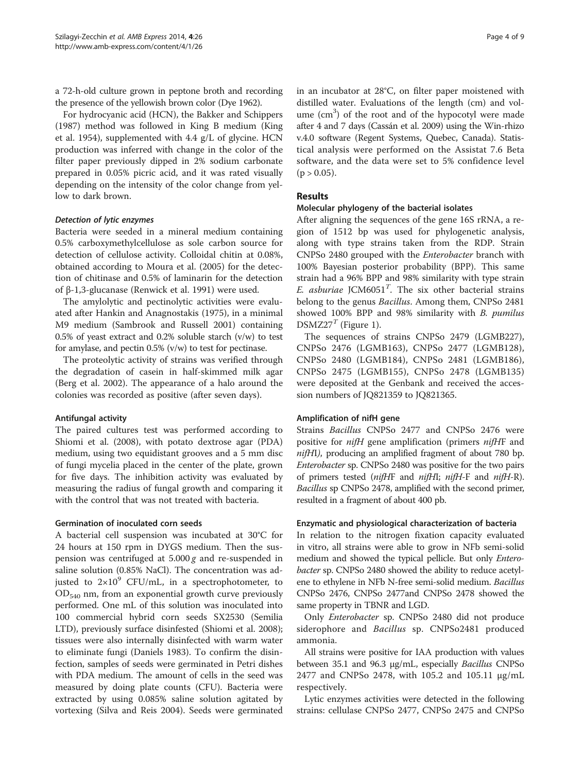a 72-h-old culture grown in peptone broth and recording the presence of the yellowish brown color (Dye [1962](#page-6-0)).

For hydrocyanic acid (HCN), the Bakker and Schippers ([1987](#page-6-0)) method was followed in King B medium (King et al. [1954\)](#page-7-0), supplemented with 4.4 g/L of glycine. HCN production was inferred with change in the color of the filter paper previously dipped in 2% sodium carbonate prepared in 0.05% picric acid, and it was rated visually depending on the intensity of the color change from yellow to dark brown.

#### Detection of lytic enzymes

Bacteria were seeded in a mineral medium containing 0.5% carboxymethylcellulose as sole carbon source for detection of cellulose activity. Colloidal chitin at 0.08%, obtained according to Moura et al. ([2005\)](#page-7-0) for the detection of chitinase and 0.5% of laminarin for the detection of β-1,3-glucanase (Renwick et al. [1991](#page-7-0)) were used.

The amylolytic and pectinolytic activities were evaluated after Hankin and Anagnostakis [\(1975](#page-6-0)), in a minimal M9 medium (Sambrook and Russell [2001\)](#page-7-0) containing 0.5% of yeast extract and 0.2% soluble starch (v/w) to test for amylase, and pectin 0.5% (v/w) to test for pectinase.

The proteolytic activity of strains was verified through the degradation of casein in half-skimmed milk agar (Berg et al. [2002\)](#page-6-0). The appearance of a halo around the colonies was recorded as positive (after seven days).

### Antifungal activity

The paired cultures test was performed according to Shiomi et al. ([2008](#page-7-0)), with potato dextrose agar (PDA) medium, using two equidistant grooves and a 5 mm disc of fungi mycelia placed in the center of the plate, grown for five days. The inhibition activity was evaluated by measuring the radius of fungal growth and comparing it with the control that was not treated with bacteria.

#### Germination of inoculated corn seeds

A bacterial cell suspension was incubated at 30°C for 24 hours at 150 rpm in DYGS medium. Then the suspension was centrifuged at  $5.000 g$  and re-suspended in saline solution (0.85% NaCl). The concentration was adjusted to  $2\times10^9$  CFU/mL, in a spectrophotometer, to  $OD_{540}$  nm, from an exponential growth curve previously performed. One mL of this solution was inoculated into 100 commercial hybrid corn seeds SX2530 (Semilia LTD), previously surface disinfested (Shiomi et al. [2008](#page-7-0)); tissues were also internally disinfected with warm water to eliminate fungi (Daniels [1983\)](#page-6-0). To confirm the disinfection, samples of seeds were germinated in Petri dishes with PDA medium. The amount of cells in the seed was measured by doing plate counts (CFU). Bacteria were extracted by using 0.085% saline solution agitated by vortexing (Silva and Reis [2004\)](#page-7-0). Seeds were germinated in an incubator at 28°C, on filter paper moistened with distilled water. Evaluations of the length (cm) and volume  $(cm<sup>3</sup>)$  of the root and of the hypocotyl were made after 4 and 7 days (Cassán et al. [2009](#page-6-0)) using the Win-rhizo v.4.0 software (Regent Systems, Quebec, Canada). Statistical analysis were performed on the Assistat 7.6 Beta software, and the data were set to 5% confidence level  $(p > 0.05)$ .

#### Results

## Molecular phylogeny of the bacterial isolates

After aligning the sequences of the gene 16S rRNA, a region of 1512 bp was used for phylogenetic analysis, along with type strains taken from the RDP. Strain CNPSo 2480 grouped with the Enterobacter branch with 100% Bayesian posterior probability (BPP). This same strain had a 96% BPP and 98% similarity with type strain E. asburiae JCM6051<sup>T</sup>. The six other bacterial strains belong to the genus Bacillus. Among them, CNPSo 2481 showed 100% BPP and 98% similarity with B. pumilus  $DSMZ27<sup>T</sup>$  (Figure [1](#page-4-0)).

The sequences of strains CNPSo 2479 (LGMB227), CNPSo 2476 (LGMB163), CNPSo 2477 (LGMB128), CNPSo 2480 (LGMB184), CNPSo 2481 (LGMB186), CNPSo 2475 (LGMB155), CNPSo 2478 (LGMB135) were deposited at the Genbank and received the accession numbers of JQ821359 to JQ821365.

#### Amplification of nifH gene

Strains Bacillus CNPSo 2477 and CNPSo 2476 were positive for *nifH* gene amplification (primers *nifHF* and nifHI), producing an amplified fragment of about 780 bp. Enterobacter sp. CNPSo 2480 was positive for the two pairs of primers tested (nifHF and nifHI; nifH-F and nifH-R). Bacillus sp CNPSo 2478, amplified with the second primer, resulted in a fragment of about 400 pb.

#### Enzymatic and physiological characterization of bacteria

In relation to the nitrogen fixation capacity evaluated in vitro, all strains were able to grow in NFb semi-solid medium and showed the typical pellicle. But only *Entero*bacter sp. CNPSo 2480 showed the ability to reduce acetylene to ethylene in NFb N-free semi-solid medium. Bacillus CNPSo 2476, CNPSo 2477and CNPSo 2478 showed the same property in TBNR and LGD.

Only Enterobacter sp. CNPSo 2480 did not produce siderophore and Bacillus sp. CNPSo2481 produced ammonia.

All strains were positive for IAA production with values between 35.1 and 96.3 μg/mL, especially *Bacillus* CNPSo 2477 and CNPSo 2478, with 105.2 and 105.11 μg/mL respectively.

Lytic enzymes activities were detected in the following strains: cellulase CNPSo 2477, CNPSo 2475 and CNPSo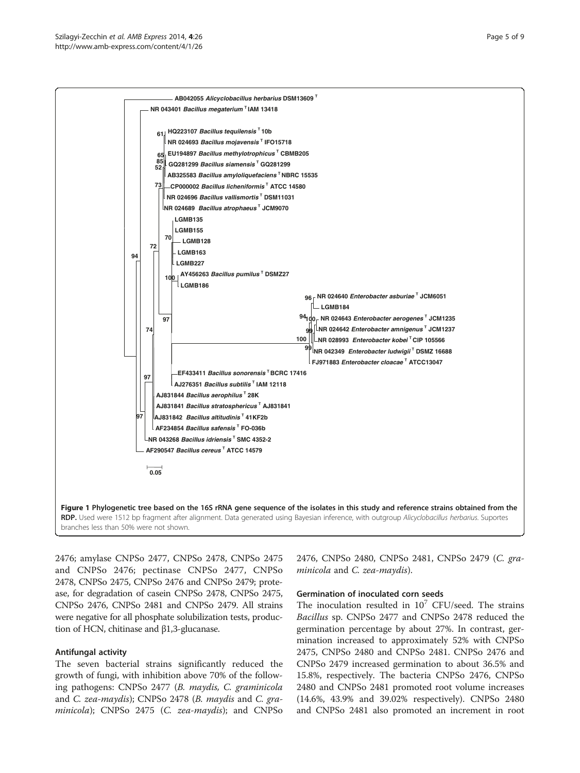<span id="page-4-0"></span>

2476; amylase CNPSo 2477, CNPSo 2478, CNPSo 2475 and CNPSo 2476; pectinase CNPSo 2477, CNPSo 2478, CNPSo 2475, CNPSo 2476 and CNPSo 2479; protease, for degradation of casein CNPSo 2478, CNPSo 2475, CNPSo 2476, CNPSo 2481 and CNPSo 2479. All strains were negative for all phosphate solubilization tests, production of HCN, chitinase and β1,3-glucanase.

### Antifungal activity

The seven bacterial strains significantly reduced the growth of fungi, with inhibition above 70% of the following pathogens: CNPSo 2477 (B. maydis, C. graminicola and C. zea-maydis); CNPSo 2478 (B. maydis and C. graminicola); CNPSo 2475 (C. zea-maydis); and CNPSo

2476, CNPSo 2480, CNPSo 2481, CNPSo 2479 (C. graminicola and C. zea-maydis).

#### Germination of inoculated corn seeds

The inoculation resulted in  $10^7$  CFU/seed. The strains Bacillus sp. CNPSo 2477 and CNPSo 2478 reduced the germination percentage by about 27%. In contrast, germination increased to approximately 52% with CNPSo 2475, CNPSo 2480 and CNPSo 2481. CNPSo 2476 and CNPSo 2479 increased germination to about 36.5% and 15.8%, respectively. The bacteria CNPSo 2476, CNPSo 2480 and CNPSo 2481 promoted root volume increases (14.6%, 43.9% and 39.02% respectively). CNPSo 2480 and CNPSo 2481 also promoted an increment in root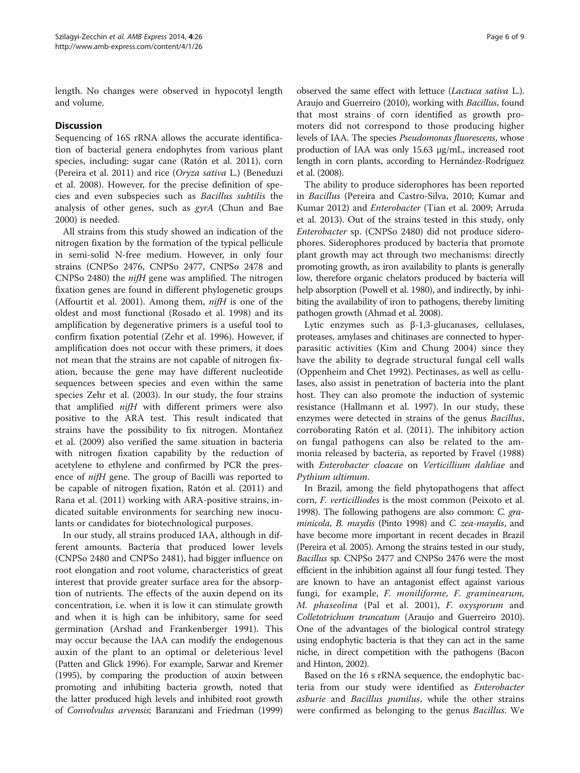length. No changes were observed in hypocotyl length and volume.

#### **Discussion**

Sequencing of 16S rRNA allows the accurate identification of bacterial genera endophytes from various plant species, including: sugar cane (Ratón et al. [2011](#page-7-0)), corn (Pereira et al. [2011](#page-7-0)) and rice (Oryza sativa L.) (Beneduzi et al. [2008](#page-6-0)). However, for the precise definition of species and even subspecies such as Bacillus subtilis the analysis of other genes, such as gyrA (Chun and Bae [2000](#page-6-0)) is needed.

All strains from this study showed an indication of the nitrogen fixation by the formation of the typical pellicule in semi-solid N-free medium. However, in only four strains (CNPSo 2476, CNPSo 2477, CNPSo 2478 and CNPSo 2480) the nifH gene was amplified. The nitrogen fixation genes are found in different phylogenetic groups (Affourtit et al. [2001\)](#page-6-0). Among them,  $ni\mathcal{H}$  is one of the oldest and most functional (Rosado et al. [1998\)](#page-7-0) and its amplification by degenerative primers is a useful tool to confirm fixation potential (Zehr et al. [1996\)](#page-8-0). However, if amplification does not occur with these primers, it does not mean that the strains are not capable of nitrogen fixation, because the gene may have different nucleotide sequences between species and even within the same species Zehr et al. ([2003](#page-8-0)). In our study, the four strains that amplified nifH with different primers were also positive to the ARA test. This result indicated that strains have the possibility to fix nitrogen. Montañez et al. ([2009](#page-7-0)) also verified the same situation in bacteria with nitrogen fixation capability by the reduction of acetylene to ethylene and confirmed by PCR the presence of nifH gene. The group of Bacilli was reported to be capable of nitrogen fixation, Ratón et al. ([2011](#page-7-0)) and Rana et al. ([2011](#page-7-0)) working with ARA-positive strains, indicated suitable environments for searching new inoculants or candidates for biotechnological purposes.

In our study, all strains produced IAA, although in different amounts. Bacteria that produced lower levels (CNPSo 2480 and CNPSo 2481), had bigger influence on root elongation and root volume, characteristics of great interest that provide greater surface area for the absorption of nutrients. The effects of the auxin depend on its concentration, i.e. when it is low it can stimulate growth and when it is high can be inhibitory, same for seed germination (Arshad and Frankenberger [1991](#page-6-0)). This may occur because the IAA can modify the endogenous auxin of the plant to an optimal or deleterious level (Patten and Glick [1996](#page-7-0)). For example, Sarwar and Kremer ([1995\)](#page-7-0), by comparing the production of auxin between promoting and inhibiting bacteria growth, noted that the latter produced high levels and inhibited root growth of Convolvulus arvensis; Baranzani and Friedman [\(1999](#page-6-0))

observed the same effect with lettuce (Lactuca sativa L.). Araujo and Guerreiro ([2010\)](#page-6-0), working with Bacillus, found that most strains of corn identified as growth promoters did not correspond to those producing higher levels of IAA. The species Pseudomonas fluorescens, whose production of IAA was only 15.63 μg/mL, increased root length in corn plants, according to Hernández-Rodríguez et al. [\(2008\)](#page-7-0).

The ability to produce siderophores has been reported in Bacillus (Pereira and Castro-Silva, [2010;](#page-7-0) Kumar and Kumar [2012\)](#page-7-0) and Enterobacter (Tian et al. [2009;](#page-7-0) Arruda et al. [2013](#page-6-0)). Out of the strains tested in this study, only Enterobacter sp. (CNPSo 2480) did not produce siderophores. Siderophores produced by bacteria that promote plant growth may act through two mechanisms: directly promoting growth, as iron availability to plants is generally low, therefore organic chelators produced by bacteria will help absorption (Powell et al. [1980](#page-7-0)), and indirectly, by inhibiting the availability of iron to pathogens, thereby limiting pathogen growth (Ahmad et al. [2008\)](#page-6-0).

Lytic enzymes such as β-1,3-glucanases, cellulases, proteases, amylases and chitinases are connected to hyperparasitic activities (Kim and Chung [2004\)](#page-7-0) since they have the ability to degrade structural fungal cell walls (Oppenheim and Chet [1992\)](#page-7-0). Pectinases, as well as cellulases, also assist in penetration of bacteria into the plant host. They can also promote the induction of systemic resistance (Hallmann et al. [1997\)](#page-6-0). In our study, these enzymes were detected in strains of the genus Bacillus, corroborating Ratón et al. ([2011](#page-7-0)). The inhibitory action on fungal pathogens can also be related to the ammonia released by bacteria, as reported by Fravel ([1988](#page-6-0)) with Enterobacter cloacae on Verticillium dahliae and Pythium ultimum.

In Brazil, among the field phytopathogens that affect corn, F. verticilliodes is the most common (Peixoto et al. [1998\)](#page-7-0). The following pathogens are also common: C. graminicola, B. maydis (Pinto [1998\)](#page-7-0) and C. zea-maydis, and have become more important in recent decades in Brazil (Pereira et al. [2005\)](#page-7-0). Among the strains tested in our study, Bacillus sp. CNPSo 2477 and CNPSo 2476 were the most efficient in the inhibition against all four fungi tested. They are known to have an antagonist effect against various fungi, for example, F. moniliforme, F. graminearum, M. phaseolina (Pal et al. [2001](#page-7-0)), F. oxysporum and Colletotrichum truncatum (Araujo and Guerreiro [2010](#page-6-0)). One of the advantages of the biological control strategy using endophytic bacteria is that they can act in the same niche, in direct competition with the pathogens (Bacon and Hinton, [2002\)](#page-6-0).

Based on the 16 s rRNA sequence, the endophytic bacteria from our study were identified as Enterobacter asburie and Bacillus pumilus, while the other strains were confirmed as belonging to the genus Bacillus. We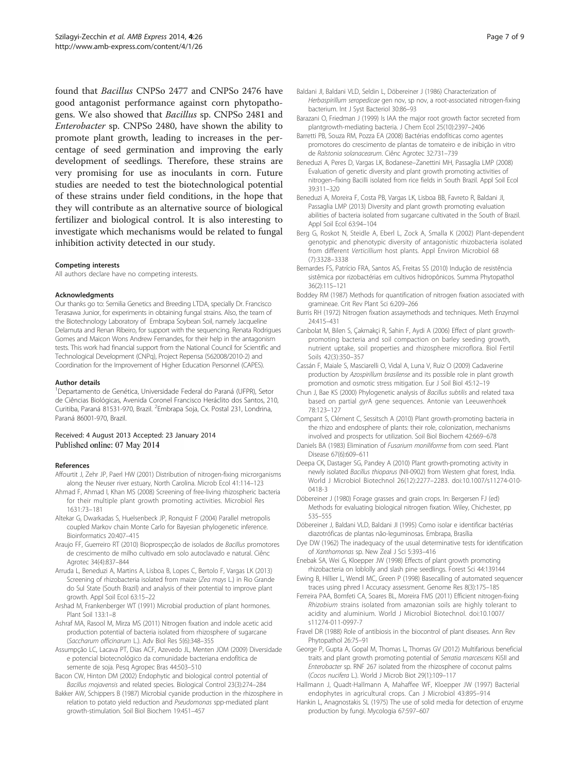<span id="page-6-0"></span>found that Bacillus CNPSo 2477 and CNPSo 2476 have good antagonist performance against corn phytopathogens. We also showed that Bacillus sp. CNPSo 2481 and Enterobacter sp. CNPSo 2480, have shown the ability to promote plant growth, leading to increases in the percentage of seed germination and improving the early development of seedlings. Therefore, these strains are very promising for use as inoculants in corn. Future studies are needed to test the biotechnological potential of these strains under field conditions, in the hope that they will contribute as an alternative source of biological fertilizer and biological control. It is also interesting to investigate which mechanisms would be related to fungal inhibition activity detected in our study.

#### Competing interests

All authors declare have no competing interests.

#### Acknowledgments

Our thanks go to: Semilia Genetics and Breeding LTDA, specially Dr. Francisco Terasawa Junior, for experiments in obtaining fungal strains. Also, the team of the Biotechnology Laboratory of Embrapa Soybean Soil, namely Jacqueline Delamuta and Renan Ribeiro, for support with the sequencing. Renata Rodrigues Gomes and Maicon Wons Andrew Fernandes, for their help in the antagonism tests. This work had financial support from the National Council for Scientific and Technological Development (CNPq), Project Repensa (562008/2010-2) and Coordination for the Improvement of Higher Education Personnel (CAPES).

#### Author details

<sup>1</sup>Departamento de Genética, Universidade Federal do Paraná (UFPR), Setor de Ciências Biológicas, Avenida Coronel Francisco Heráclito dos Santos, 210, Curitiba, Paraná 81531-970, Brazil. <sup>2</sup>Embrapa Soja, Cx. Postal 231, Londrina, Paraná 86001-970, Brazil.

#### Received: 4 August 2013 Accepted: 23 January 2014 Published online: 07 May 2014

#### References

- Affourtit J, Zehr JP, Paerl HW (2001) Distribution of nitrogen-fixing microrganisms along the Neuser river estuary, North Carolina. Microb Ecol 41:114–123
- Ahmad F, Ahmad I, Khan MS (2008) Screening of free-living rhizospheric bacteria for their multiple plant growth promoting activities. Microbiol Res 1631:73–181
- Altekar G, Dwarkadas S, Huelsenbeck JP, Ronquist F (2004) Parallel metropolis coupled Markov chain Monte Carlo for Bayesian phylogenetic inference. Bioinformatics 20:407–415
- Araujo FF, Guerreiro RT (2010) Bioprospecção de isolados de Bacillus promotores de crescimento de milho cultivado em solo autoclavado e natural. Ciênc Agrotec 34(4):837–844
- Arruda L, Beneduzi A, Martins A, Lisboa B, Lopes C, Bertolo F, Vargas LK (2013) Screening of rhizobacteria isolated from maize (Zea mays L.) in Rio Grande do Sul State (South Brazil) and analysis of their potential to improve plant growth. Appl Soil Ecol 63:15–22
- Arshad M, Frankenberger WT (1991) Microbial production of plant hormones. Plant Soil 133:1–8
- Ashraf MA, Rasool M, Mirza MS (2011) Nitrogen fixation and indole acetic acid production potential of bacteria isolated from rhizosphere of sugarcane (Saccharum officinarum L.). Adv Biol Res 5(6):348–355
- Assumpção LC, Lacava PT, Dias ACF, Azevedo JL, Menten JOM (2009) Diversidade e potencial biotecnológico da comunidade bacteriana endofítica de semente de soja. Pesq Agropec Bras 44:503–510
- Bacon CW, Hinton DM (2002) Endophytic and biological control potential of Bacillus mojavensis and related species. Biological Control 23(3):274–284
- Bakker AW, Schippers B (1987) Microbial cyanide production in the rhizosphere in relation to potato yield reduction and Pseudomonas spp-mediated plant growth-stimulation. Soil Biol Biochem 19:451–457
- Baldani JI, Baldani VLD, Seldin L, Döbereiner J (1986) Characterization of Herbaspirillum seropedicae gen nov, sp nov, a root-associated nitrogen-fixing bacterium. Int J Syst Bacteriol 30:86–93
- Barazani O, Friedman J (1999) Is IAA the major root growth factor secreted from plantgrowth-mediating bacteria. J Chem Ecol 25(10):2397–2406
- Barretti PB, Souza RM, Pozza EA (2008) Bactérias endofíticas como agentes promotores do crescimento de plantas de tomateiro e de inibição in vitro de Ralstonia solanacearum. Ciênc Agrotec 32:731–739
- Beneduzi A, Peres D, Vargas LK, Bodanese–Zanettini MH, Passaglia LMP (2008) Evaluation of genetic diversity and plant growth promoting activities of nitrogen–fixing Bacilli isolated from rice fields in South Brazil. Appl Soil Ecol 39:311–320
- Beneduzi A, Moreira F, Costa PB, Vargas LK, Lisboa BB, Favreto R, Baldani JI, Passaglia LMP (2013) Diversity and plant growth promoting evaluation abilities of bacteria isolated from sugarcane cultivated in the South of Brazil. Appl Soil Ecol 63:94–104
- Berg G, Roskot N, Steidle A, Eberl L, Zock A, Smalla K (2002) Plant-dependent genotypic and phenotypic diversity of antagonistic rhizobacteria isolated from different Verticillium host plants. Appl Environ Microbiol 68 (7):3328–3338
- Bernardes FS, Patrício FRA, Santos AS, Freitas SS (2010) Indução de resistência sistêmica por rizobactérias em cultivos hidropônicos. Summa Phytopathol 36(2):115–121
- Boddey RM (1987) Methods for quantification of nitrogen fixation associated with gramineae. Crit Rev Plant Sci 6:209–266
- Burris RH (1972) Nitrogen fixation assaymethods and techniques. Meth Enzymol 24:415–431
- Canbolat M, Bilen S, Çakmakçi R, Sahin F, Aydi A (2006) Effect of plant growthpromoting bacteria and soil compaction on barley seeding growth, nutrient uptake, soil properties and rhizosphere microflora. Biol Fertil Soils 42(3):350–357
- Cassán F, Maiale S, Masciarelli O, Vidal A, Luna V, Ruiz O (2009) Cadaverine production by Azospirillum brasilense and its possible role in plant growth promotion and osmotic stress mitigation. Eur J Soil Biol 45:12–19
- Chun J, Bae KS (2000) Phylogenetic analysis of Bacillus subtilis and related taxa based on partial gyrA gene sequences. Antonie van Leeuwenhoek 78:123–127
- Compant S, Clément C, Sessitsch A (2010) Plant growth-promoting bacteria in the rhizo and endosphere of plants: their role, colonization, mechanisms involved and prospects for utilization. Soil Biol Biochem 42:669–678
- Daniels BA (1983) Elimination of Fusarium moniliforme from corn seed. Plant Disease 67(6):609–611
- Deepa CK, Dastager SG, Pandey A (2010) Plant growth-promoting activity in newly isolated Bacillus thioparus (NII-0902) from Western ghat forest, India. World J Microbiol Biotechnol 26(12):2277–2283. doi:10.1007/s11274-010- 0418-3
- Döbereiner J (1980) Forage grasses and grain crops. In: Bergersen FJ (ed) Methods for evaluating biological nitrogen fixation. Wiley, Chichester, pp 535–555
- Döbereiner J, Baldani VLD, Baldani JI (1995) Como isolar e identificar bactérias diazotróficas de plantas não-leguminosas. Embrapa, Brasília
- Dye DW (1962) The inadequacy of the usual determinative tests for identification of Xanthomonas sp. New Zeal J Sci 5:393–416
- Enebak SA, Wei G, Kloepper JW (1998) Effects of plant growth promoting rhizobacteria on loblolly and slash pine seedlings. Forest Sci 44:139144
- Ewing B, Hillier L, Wendl MC, Green P (1998) Basecalling of automated sequencer traces using phred I Accuracy assessment. Genome Res 8(3):175–185
- Ferreira PAA, Bomfeti CA, Soares BL, Moreira FMS (2011) Efficient nitrogen-fixing Rhizobium strains isolated from amazonian soils are highly tolerant to acidity and aluminium. World J Microbiol Biotechnol. doi:10.1007/ s11274-011-0997-7
- Fravel DR (1988) Role of antibiosis in the biocontrol of plant diseases. Ann Rev Phytopathol 26:75–91
- George P, Gupta A, Gopal M, Thomas L, Thomas GV (2012) Multifarious beneficial traits and plant growth promoting potential of Serratia marcescens KiSII and Enterobacter sp. RNF 267 isolated from the rhizosphere of coconut palms (Cocos nucifera L.). World J Microb Biot 29(1):109–117
- Hallmann J, Quadt-Hallmann A, Mahaffee WF, Kloepper JW (1997) Bacterial endophytes in agricultural crops. Can J Microbiol 43:895–914
- Hankin L, Anagnostakis SL (1975) The use of solid media for detection of enzyme production by fungi. Mycologia 67:597–607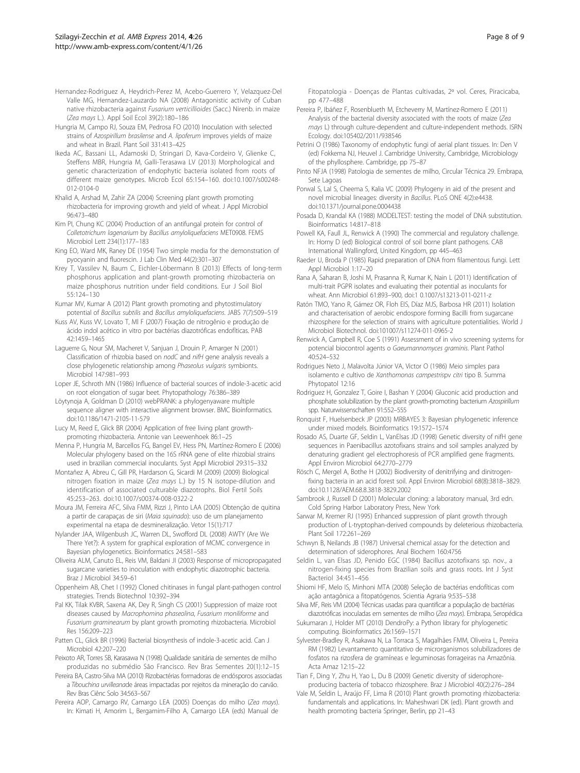- <span id="page-7-0"></span>Hernandez-Rodriguez A, Heydrich-Perez M, Acebo-Guerrero Y, Velazquez-Del Valle MG, Hernandez-Lauzardo NA (2008) Antagonistic activity of Cuban native rhizobacteria against Fusarium verticillioides (Sacc.) Nirenb. in maize (Zea mays L.). Appl Soil Ecol 39(2):180–186
- Hungria M, Campo RJ, Souza EM, Pedrosa FO (2010) Inoculation with selected strains of Azospirillum brasilense and A. lipoferum improves yields of maize and wheat in Brazil. Plant Soil 331:413–425
- Ikeda AC, Bassani LL, Adamoski D, Stringari D, Kava-Cordeiro V, Glienke C, Steffens MBR, Hungria M, Galli-Terasawa LV (2013) Morphological and genetic characterization of endophytic bacteria isolated from roots of different maize genotypes. Microb Ecol 65:154–160. doi:10.1007/s00248- 012-0104-0
- Khalid A, Arshad M, Zahir ZA (2004) Screening plant growth promoting rhizobacteria for improving growth and yield of wheat. J Appl Microbiol 96:473–480
- Kim PI, Chung KC (2004) Production of an antifungal protein for control of Colletotrichum lagenarium by Bacillus amyloliquefaciens MET0908. FEMS Microbiol Lett 234(1):177–183
- King EO, Ward MK, Raney DE (1954) Two simple media for the demonstration of pyocyanin and fluorescin. J Lab Clin Med 44(2):301–307
- Krey T, Vassilev N, Baum C, Eichler-Löbermann B (2013) Effects of long-term phosphorus application and plant-growth promoting rhizobacteria on maize phosphorus nutrition under field conditions. Eur J Soil Biol 55:124–130
- Kumar MV, Kumar A (2012) Plant growth promoting and phytostimulatory potential of Bacillus subtilis and Bacillus amyloliquefaciens. JABS 7(7):509–519
- Kuss AV, Kuss VV, Lovato T, Ml F (2007) Fixação de nitrogênio e produção de ácido indol acético in vitro por bactérias diazotróficas endofíticas. PAB 42:1459–1465
- Laguerre G, Nour SM, Macheret V, Sanjuan J, Drouin P, Amarger N (2001) Classification of rhizobia based on nodC and nifH gene analysis reveals a close phylogenetic relationship among Phaseolus vulgaris symbionts. Microbiol 147:981–993
- Loper JE, Schroth MN (1986) Influence of bacterial sources of indole-3-acetic acid on root elongation of sugar beet. Phytopathology 76:386–389
- Löytynoja A, Goldman D (2010) webPRANK: a phylogenyaware multiple sequence aligner with interactive alignment browser. BMC Bioinformatics. doi:10.1186/1471-2105-11-579
- Lucy M, Reed E, Glick BR (2004) Application of free living plant growthpromoting rhizobacteria. Antonie van Leewenhoek 86:1–25
- Menna P, Hungria M, Barcellos FG, Bangel EV, Hess PN, Martínez-Romero E (2006) Molecular phylogeny based on the 16S rRNA gene of elite rhizobial strains used in brazilian commercial inoculants. Syst Appl Microbiol 29:315–332
- Montañez A, Abreu C, Gill PR, Hardarson G, Sicardi M (2009) (2009) Biological nitrogen fixation in maize (Zea mays L.) by 15 N isotope-dilution and identification of associated culturable diazotrophs. Biol Fertil Soils 45:253–263. doi:10.1007/s00374-008-0322-2
- Moura JM, Ferreira AFC, Silva FMM, Rizzi J, Pinto LAA (2005) Obtenção de quitina a partir de carapaças de siri (Maia squinado): uso de um planejamento experimental na etapa de desmineralização. Vetor 15(1):717
- Nylander JAA, Wilgenbush JC, Warren DL, Swofford DL (2008) AWTY (Are We There Yet?): A system for graphical exploration of MCMC convergence in Bayesian phylogenetics. Bioinformatics 24:581–583
- Oliveira ALM, Canuto EL, Reis VM, Baldani JI (2003) Response of micropropagated sugarcane varieties to inoculation with endophytic diazotrophic bacteria. Braz J Microbiol 34:59–61
- Oppenheim AB, Chet I (1992) Cloned chitinases in fungal plant-pathogen control strategies. Trends Biotechnol 10:392–394
- Pal KK, Tilak KVBR, Saxena AK, Dey R, Singh CS (2001) Suppression of maize root diseases caused by Macrophomina phaseolina, Fusarium moniliforme and Fusarium graminearum by plant growth promoting rhizobacteria. Microbiol Res 156:209–223
- Patten CL, Glick BR (1996) Bacterial biosynthesis of indole-3-acetic acid. Can J Microbiol 42:207–220
- Peixoto AR, Torres SB, Karasawa N (1998) Qualidade sanitária de sementes de milho produzidas no submédio São Francisco. Rev Bras Sementes 20(1):12–15
- Pereira BA, Castro-Silva MA (2010) Rizobactérias formadoras de endósporos associadas a Tibouchina urvilleanade áreas impactadas por rejeitos da mineração do carvão. Rev Bras Ciênc Solo 34:563–567
- Pereira AOP, Camargo RV, Camargo LEA (2005) Doenças do milho (Zea mays). In: Kimati H, Amorim L, Bergamim-Filho A, Camargo LEA (eds) Manual de

Fitopatologia - Doenças de Plantas cultivadas, 2º vol. Ceres, Piracicaba, pp 477–488

- Pereira P, Ibáñez F, Rosenblueth M, Etcheverry M, Martínez-Romero E (2011) Analysis of the bacterial diversity associated with the roots of maize (Zea mays L) through culture-dependent and culture-independent methods. ISRN Ecology. doi:105402/2011/938546
- Petrini O (1986) Taxonomy of endophytic fungi of aerial plant tissues. In: Den V (ed) Fokkema NJ, Heuvel J. Cambridge University, Cambridge, Microbiology of the phyllosphere. Cambridge, pp 75–87
- Pinto NFJA (1998) Patologia de sementes de milho, Circular Técnica 29. Embrapa, Sete Lagoas
- Porwal S, Lal S, Cheema S, Kalia VC (2009) Phylogeny in aid of the present and novel microbial lineages: diversity in Bacillus. PLoS ONE 4(2):e4438. doi:10.1371/journal.pone.0004438
- Posada D, Krandal KA (1988) MODELTEST: testing the model of DNA substitution. Bioinformatics 14:817–818
- Powell KA, Faull JL, Renwick A (1990) The commercial and regulatory challenge. In: Horny D (ed) Biological control of soil borne plant pathogens. CAB International Wallingford, United Kingdom, pp 445–463
- Raeder U, Broda P (1985) Rapid preparation of DNA from filamentous fungi. Lett Appl Microbiol 1:17–20
- Rana A, Saharan B, Joshi M, Prasanna R, Kumar K, Nain L (2011) Identification of multi-trait PGPR isolates and evaluating their potential as inoculants for wheat. Ann Microbiol 61:893–900, doi:1 0.1007/s13213-011-0211-z
- Ratón TMO, Yano R, Gámez OR, Floh EIS, Díaz MJS, Barbosa HR (2011) Isolation and characterisation of aerobic endospore forming Bacilli from sugarcane rhizosphere for the selection of strains with agriculture potentialities. World J Microbiol Biotechnol. doi:101007/s11274-011-0965-2
- Renwick A, Campbell R, Coe S (1991) Assessment of in vivo screening systems for potencial biocontrol agents o Gaeumannomyces graminis. Plant Pathol 40:524–532
- Rodrigues Neto J, Malavolta Júnior VA, Victor O (1986) Meio simples para isolamento e cultivo de Xanthomonas campestrispv citri tipo B. Summa Phytopatol 12:16
- Rodriguez H, Gonzalez T, Goire I, Bashan Y (2004) Gluconic acid production and phosphate solubilization by the plant growth-promoting bacterium Azospirillum spp. Naturwissenschaften 91:552–555
- Ronquist F, Huelsenbeck JP (2003) MRBAYES 3: Bayesian phylogenetic inference under mixed models. Bioinformatics 19:1572–1574
- Rosado AS, Duarte GF, Seldin L, VanElsas JD (1998) Genetic diversity of nifH gene sequences in Paenibacillus azotofixans strains and soil samples analyzed by denaturing gradient gel electrophoresis of PCR amplified gene fragments. Appl Environ Microbiol 64:2770–2779
- Rösch C, Mergel A, Bothe H (2002) Biodiversity of denitrifying and dinitrogenfixing bacteria in an acid forest soil. Appl Environ Microbiol 68(8):3818–3829. doi:10.1128/AEM.68.8.3818-3829.2002
- Sambrook J, Russell D (2001) Molecular cloning: a laboratory manual, 3rd edn. Cold Spring Harbor Laboratory Press, New York
- Sarwar M, Kremer RJ (1995) Enhanced suppression of plant growth through production of L-tryptophan-derived compounds by deleterious rhizobacteria. Plant Soil 172:261–269
- Schwyn B, Neilands JB (1987) Universal chemical assay for the detection and determination of siderophores. Anal Biochem 160:4756
- Seldin L, van Elsas JD, Penido EGC (1984) Bacillus azotofixans sp. nov., a nitrogen-fixing species from Brazilian soils and grass roots. Int J Syst Bacteriol 34:451–456
- Shiomi HF, Melo IS, Minhoni MTA (2008) Seleção de bactérias endofíticas com ação antagônica a fitopatógenos. Scientia Agraria 9:535–538
- Silva MF, Reis VM (2004) Técnicas usadas para quantificar a população de bactérias diazotróficas inoculadas em sementes de milho (Zea mays). Embrapa, Seropédica
- Sukumaran J, Holder MT (2010) DendroPy: a Python library for phylogenetic computing. Bioinformatics 26:1569–1571
- Sylvester-Bradley R, Asakawa N, La Torraca S, Magalhães FMM, Oliveira L, Pereira RM (1982) Levantamento quantitativo de microrganismos solubilizadores de fosfatos na rizosfera de gramíneas e leguminosas forrageiras na Amazônia. Acta Amaz 12:15–22
- Tian F, Ding Y, Zhu H, Yao L, Du B (2009) Genetic diversity of siderophoreproducing bacteria of tobacco rhizosphere. Braz J Microbiol 40(2):276–284
- Vale M, Seldin L, Araújo FF, Lima R (2010) Plant growth promoting rhizobacteria: fundamentals and applications. In: Maheshwari DK (ed). Plant growth and health promoting bacteria Springer, Berlin, pp 21–43